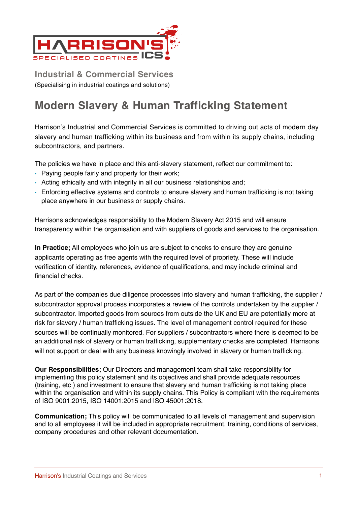

**Industrial & Commercial Services** (Specialising in industrial coatings and solutions)

## **Modern Slavery & Human Trafficking Statement**

Harrison's Industrial and Commercial Services is committed to driving out acts of modern day slavery and human trafficking within its business and from within its supply chains, including subcontractors, and partners.

The policies we have in place and this anti-slavery statement, reflect our commitment to:

- Paying people fairly and properly for their work;
- Acting ethically and with integrity in all our business relationships and;
- Enforcing effective systems and controls to ensure slavery and human trafficking is not taking place anywhere in our business or supply chains.

Harrisons acknowledges responsibility to the Modern Slavery Act 2015 and will ensure transparency within the organisation and with suppliers of goods and services to the organisation.

**In Practice;** All employees who join us are subject to checks to ensure they are genuine applicants operating as free agents with the required level of propriety. These will include verification of identity, references, evidence of qualifications, and may include criminal and financial checks.

As part of the companies due diligence processes into slavery and human trafficking, the supplier / subcontractor approval process incorporates a review of the controls undertaken by the supplier / subcontractor. Imported goods from sources from outside the UK and EU are potentially more at risk for slavery / human trafficking issues. The level of management control required for these sources will be continually monitored. For suppliers / subcontractors where there is deemed to be an additional risk of slavery or human trafficking, supplementary checks are completed. Harrisons will not support or deal with any business knowingly involved in slavery or human trafficking.

**Our Responsibilities;** Our Directors and management team shall take responsibility for implementing this policy statement and its objectives and shall provide adequate resources (training, etc ) and investment to ensure that slavery and human trafficking is not taking place within the organisation and within its supply chains. This Policy is compliant with the requirements of ISO 9001:2015, ISO 14001:2015 and ISO 45001:2018.

**Communication;** This policy will be communicated to all levels of management and supervision and to all employees it will be included in appropriate recruitment, training, conditions of services, company procedures and other relevant documentation.